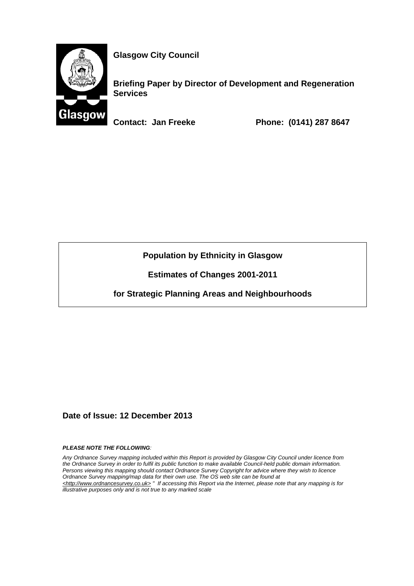

**Glasgow City Council** 

**Briefing Paper by Director of Development and Regeneration Services** 

**Contact: Jan Freeke Phone: (0141) 287 8647** 

**Population by Ethnicity in Glasgow** 

**Estimates of Changes 2001-2011** 

**for Strategic Planning Areas and Neighbourhoods** 

**Date of Issue: 12 December 2013** 

*PLEASE NOTE THE FOLLOWING:* 

*Any Ordnance Survey mapping included within this Report is provided by Glasgow City Council under licence from the Ordnance Survey in order to fulfil its public function to make available Council-held public domain information. Persons viewing this mapping should contact Ordnance Survey Copyright for advice where they wish to licence Ordnance Survey mapping/map data for their own use. The OS web site can be found at <http://www.ordnancesurvey.co.uk> " If accessing this Report via the Internet, please note that any mapping is for illustrative purposes only and is not true to any marked scale*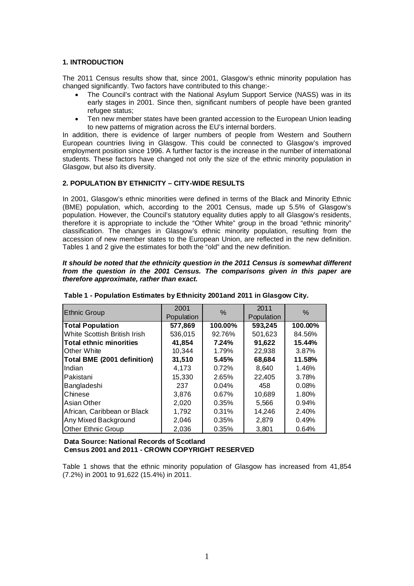## **1. INTRODUCTION**

The 2011 Census results show that, since 2001, Glasgow's ethnic minority population has changed significantly. Two factors have contributed to this change:-

- The Council's contract with the National Asylum Support Service (NASS) was in its early stages in 2001. Since then, significant numbers of people have been granted refugee status;
- Ten new member states have been granted accession to the European Union leading to new patterns of migration across the EU's internal borders.

In addition, there is evidence of larger numbers of people from Western and Southern European countries living in Glasgow. This could be connected to Glasgow's improved employment position since 1996. A further factor is the increase in the number of international students. These factors have changed not only the size of the ethnic minority population in Glasgow, but also its diversity.

## **2. POPULATION BY ETHNICITY – CITY-WIDE RESULTS**

In 2001, Glasgow's ethnic minorities were defined in terms of the Black and Minority Ethnic (BME) population, which, according to the 2001 Census, made up 5.5% of Glasgow's population. However, the Council's statutory equality duties apply to all Glasgow's residents, therefore it is appropriate to include the "Other White" group in the broad "ethnic minority" classification. The changes in Glasgow's ethnic minority population, resulting from the accession of new member states to the European Union, are reflected in the new definition. Tables 1 and 2 give the estimates for both the "old" and the new definition.

#### *It should be noted that the ethnicity question in the 2011 Census is somewhat different from the question in the 2001 Census. The comparisons given in this paper are therefore approximate, rather than exact.*

| <b>Ethnic Group</b>            | 2001<br>Population | %        | 2011<br>Population | $\%$    |
|--------------------------------|--------------------|----------|--------------------|---------|
| <b>Total Population</b>        | 577,869            | 100.00%  | 593,245            | 100.00% |
| White Scottish British Irish   | 536,015            | 92.76%   | 501,623            | 84.56%  |
| <b>Total ethnic minorities</b> | 41.854             | 7.24%    | 91,622             | 15.44%  |
| Other White                    | 10,344             | 1.79%    | 22,938             | 3.87%   |
| Total BME (2001 definition)    | 31,510             | 5.45%    | 68,684             | 11.58%  |
| Indian                         | 4.173              | 0.72%    | 8,640              | 1.46%   |
| Pakistani                      | 15,330             | 2.65%    | 22,405             | 3.78%   |
| Bangladeshi                    | 237                | $0.04\%$ | 458                | 0.08%   |
| Chinese                        | 3,876              | $0.67\%$ | 10,689             | 1.80%   |
| Asian Other                    | 2,020              | 0.35%    | 5,566              | 0.94%   |
| African, Caribbean or Black    | 1,792              | 0.31%    | 14,246             | 2.40%   |
| Any Mixed Background           | 2,046              | 0.35%    | 2,879              | 0.49%   |
| <b>Other Ethnic Group</b>      | 2,036              | 0.35%    | 3.801              | 0.64%   |

**Table 1 - Population Estimates by Ethnicity 2001and 2011 in Glasgow City.**

**Data Source: National Records of Scotland Census 2001 and 2011 - CROWN COPYRIGHT RESERVED**

Table 1 shows that the ethnic minority population of Glasgow has increased from 41,854 (7.2%) in 2001 to 91,622 (15.4%) in 2011.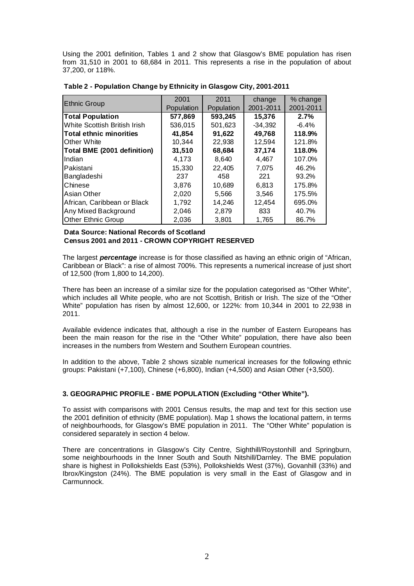Using the 2001 definition, Tables 1 and 2 show that Glasgow's BME population has risen from 31,510 in 2001 to 68,684 in 2011. This represents a rise in the population of about 37,200, or 118%.

|                                | 2001       | 2011       | change    | % change  |
|--------------------------------|------------|------------|-----------|-----------|
| <b>Ethnic Group</b>            | Population | Population | 2001-2011 | 2001-2011 |
| <b>Total Population</b>        | 577,869    | 593,245    | 15,376    | 2.7%      |
| White Scottish British Irish   | 536,015    | 501,623    | $-34,392$ | $-6.4%$   |
| <b>Total ethnic minorities</b> | 41,854     | 91,622     | 49,768    | 118.9%    |
| Other White                    | 10,344     | 22,938     | 12,594    | 121.8%    |
| Total BME (2001 definition)    | 31,510     | 68,684     | 37,174    | 118.0%    |
| Indian                         | 4,173      | 8.640      | 4,467     | 107.0%    |
| Pakistani                      | 15,330     | 22,405     | 7,075     | 46.2%     |
| Bangladeshi                    | 237        | 458        | 221       | 93.2%     |
| Chinese                        | 3,876      | 10,689     | 6,813     | 175.8%    |
| Asian Other                    | 2,020      | 5,566      | 3,546     | 175.5%    |
| African, Caribbean or Black    | 1,792      | 14,246     | 12,454    | 695.0%    |
| Any Mixed Background           | 2,046      | 2,879      | 833       | 40.7%     |
| <b>Other Ethnic Group</b>      | 2,036      | 3,801      | 1,765     | 86.7%     |

**Table 2 - Population Change by Ethnicity in Glasgow City, 2001-2011**

## **Data Source: National Records of Scotland Census 2001 and 2011 - CROWN COPYRIGHT RESERVED**

The largest *percentage* increase is for those classified as having an ethnic origin of "African, Caribbean or Black": a rise of almost 700%. This represents a numerical increase of just short of 12,500 (from 1,800 to 14,200).

There has been an increase of a similar size for the population categorised as "Other White", which includes all White people, who are not Scottish, British or Irish. The size of the "Other White" population has risen by almost 12,600, or 122%: from 10,344 in 2001 to 22,938 in 2011.

Available evidence indicates that, although a rise in the number of Eastern Europeans has been the main reason for the rise in the "Other White" population, there have also been increases in the numbers from Western and Southern European countries.

In addition to the above, Table 2 shows sizable numerical increases for the following ethnic groups: Pakistani (+7,100), Chinese (+6,800), Indian (+4,500) and Asian Other (+3,500).

# **3. GEOGRAPHIC PROFILE - BME POPULATION (Excluding "Other White").**

To assist with comparisons with 2001 Census results, the map and text for this section use the 2001 definition of ethnicity (BME population). Map 1 shows the locational pattern, in terms of neighbourhoods, for Glasgow's BME population in 2011. The "Other White" population is considered separately in section 4 below.

There are concentrations in Glasgow's City Centre, Sighthill/Roystonhill and Springburn, some neighbourhoods in the Inner South and South Nitshill/Darnley. The BME population share is highest in Pollokshields East (53%), Pollokshields West (37%), Govanhill (33%) and Ibrox/Kingston (24%). The BME population is very small in the East of Glasgow and in Carmunnock.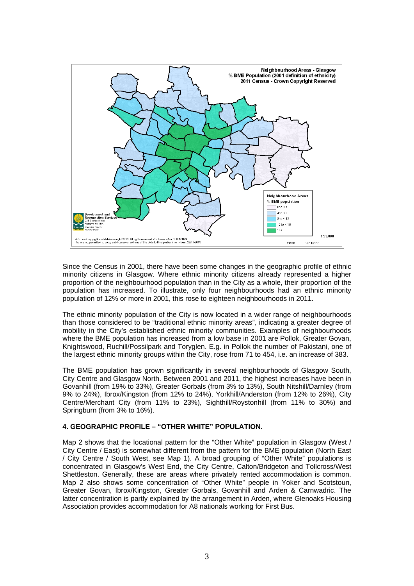

Since the Census in 2001, there have been some changes in the geographic profile of ethnic minority citizens in Glasgow. Where ethnic minority citizens already represented a higher proportion of the neighbourhood population than in the City as a whole, their proportion of the population has increased. To illustrate, only four neighbourhoods had an ethnic minority population of 12% or more in 2001, this rose to eighteen neighbourhoods in 2011.

The ethnic minority population of the City is now located in a wider range of neighbourhoods than those considered to be "traditional ethnic minority areas", indicating a greater degree of mobility in the City's established ethnic minority communities. Examples of neighbourhoods where the BME population has increased from a low base in 2001 are Pollok, Greater Govan, Knightswood, Ruchill/Possilpark and Toryglen. E.g. in Pollok the number of Pakistani, one of the largest ethnic minority groups within the City, rose from 71 to 454, i.e. an increase of 383.

The BME population has grown significantly in several neighbourhoods of Glasgow South, City Centre and Glasgow North. Between 2001 and 2011, the highest increases have been in Govanhill (from 19% to 33%), Greater Gorbals (from 3% to 13%), South Nitshill/Darnley (from 9% to 24%), Ibrox/Kingston (from 12% to 24%), Yorkhill/Anderston (from 12% to 26%), City Centre/Merchant City (from 11% to 23%), Sighthill/Roystonhill (from 11% to 30%) and Springburn (from 3% to 16%).

# **4. GEOGRAPHIC PROFILE – "OTHER WHITE" POPULATION.**

Map 2 shows that the locational pattern for the "Other White" population in Glasgow (West / City Centre / East) is somewhat different from the pattern for the BME population (North East / City Centre / South West, see Map 1). A broad grouping of "Other White" populations is concentrated in Glasgow's West End, the City Centre, Calton/Bridgeton and Tollcross/West Shettleston. Generally, these are areas where privately rented accommodation is common. Map 2 also shows some concentration of "Other White" people in Yoker and Scotstoun, Greater Govan, Ibrox/Kingston, Greater Gorbals, Govanhill and Arden & Carnwadric. The latter concentration is partly explained by the arrangement in Arden, where Glenoaks Housing Association provides accommodation for A8 nationals working for First Bus.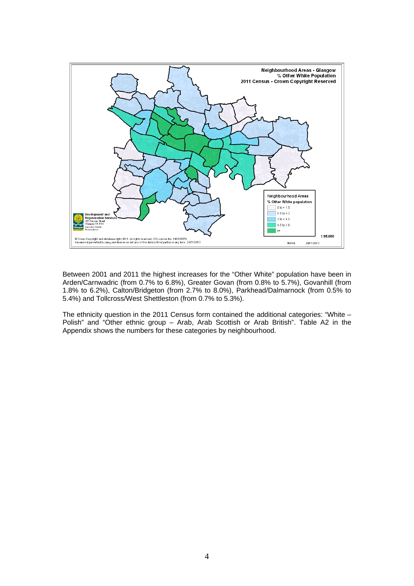

Between 2001 and 2011 the highest increases for the "Other White" population have been in Arden/Carnwadric (from 0.7% to 6.8%), Greater Govan (from 0.8% to 5.7%), Govanhill (from 1.8% to 6.2%), Calton/Bridgeton (from 2.7% to 8.0%), Parkhead/Dalmarnock (from 0.5% to 5.4%) and Tollcross/West Shettleston (from 0.7% to 5.3%).

The ethnicity question in the 2011 Census form contained the additional categories: "White – Polish" and "Other ethnic group – Arab, Arab Scottish or Arab British". Table A2 in the Appendix shows the numbers for these categories by neighbourhood.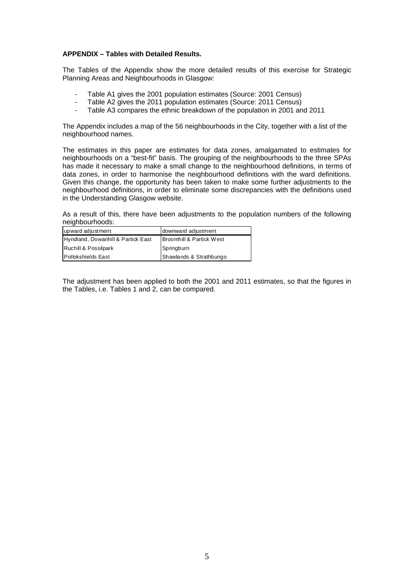## **APPENDIX – Tables with Detailed Results.**

The Tables of the Appendix show the more detailed results of this exercise for Strategic Planning Areas and Neighbourhoods in Glasgow:

- Table A1 gives the 2001 population estimates (Source: 2001 Census)
- Table A2 gives the 2011 population estimates (Source: 2011 Census)
- Table A3 compares the ethnic breakdown of the population in 2001 and 2011

The Appendix includes a map of the 56 neighbourhoods in the City, together with a list of the neighbourhood names.

The estimates in this paper are estimates for data zones, amalgamated to estimates for neighbourhoods on a "best-fit" basis. The grouping of the neighbourhoods to the three SPAs has made it necessary to make a small change to the neighbourhood definitions, in terms of data zones, in order to harmonise the neighbourhood definitions with the ward definitions. Given this change, the opportunity has been taken to make some further adjustments to the neighbourhood definitions, in order to eliminate some discrepancies with the definitions used in the Understanding Glasgow website.

As a result of this, there have been adjustments to the population numbers of the following neighbourhoods:

| upward adjustment                  | downward adjustment                  |
|------------------------------------|--------------------------------------|
| Hyndland, Dowanhill & Partick East | <b>IBroomhill &amp; Partick West</b> |
| Ruchill & Possilpark               | Springburn                           |
| Pollokshields East                 | Shawlands & Strathbungo              |

The adjustment has been applied to both the 2001 and 2011 estimates, so that the figures in the Tables, i.e. Tables 1 and 2, can be compared.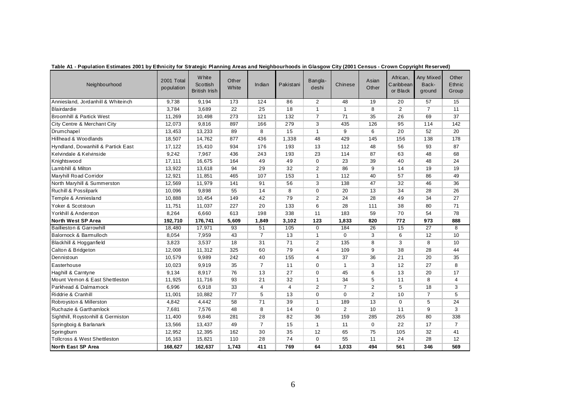| Neighbourhood                       | 2001 Total<br>population | <b>White</b><br>Scottish<br><b>British Irish</b> | Other<br>White | Indian         | Pakistani      | Bangla-<br>deshi | Chinese        | Asian<br>Other  | African,<br>Caribbean<br>or Black | Any Mixed<br>Back-<br>ground | Other<br>Ethnic<br>Group |
|-------------------------------------|--------------------------|--------------------------------------------------|----------------|----------------|----------------|------------------|----------------|-----------------|-----------------------------------|------------------------------|--------------------------|
| Anniesland, Jordanhill & Whiteinch  | 9,738                    | 9,194                                            | 173            | 124            | 86             | 2                | 48             | 19              | 20                                | 57                           | 15                       |
| <b>Blairdardie</b>                  | 3,784                    | 3,689                                            | 22             | 25             | 18             | $\mathbf{1}$     | $\mathbf{1}$   | 8               | $\overline{2}$                    | $\overline{7}$               | 11                       |
| <b>Broomhill &amp; Partick West</b> | 11,269                   | 10,498                                           | 273            | 121            | 132            | $\overline{7}$   | 71             | 35              | 26                                | 69                           | 37                       |
| City Centre & Merchant City         | 12,073                   | 9,816                                            | 897            | 166            | 279            | 3                | 435            | 126             | 95                                | 114                          | 142                      |
| Drumchapel                          | 13,453                   | 13,233                                           | 89             | 8              | 15             | $\mathbf{1}$     | 9              | $6\overline{6}$ | 20                                | 52                           | 20                       |
| Hillhead & Woodlands                | 18,507                   | 14,762                                           | 877            | 436            | 1,338          | 48               | 429            | 145             | 156                               | 138                          | 178                      |
| Hyndland, Dowanhill & Partick East  | 17,122                   | 15,410                                           | 934            | 176            | 193            | 13               | 112            | 48              | 56                                | 93                           | 87                       |
| Kelvindale & Kelvinside             | 9,242                    | 7,967                                            | 436            | 243            | 193            | 23               | 114            | 87              | 63                                | 48                           | 68                       |
| Knightswood                         | 17,111                   | 16,675                                           | 164            | 49             | 49             | 0                | 23             | 39              | 40                                | 48                           | 24                       |
| Lambhill & Milton                   | 13,922                   | 13,618                                           | 94             | 29             | 32             | $\overline{c}$   | 86             | 9               | 14                                | 19                           | 19                       |
| Maryhill Road Corridor              | 12,921                   | 11,851                                           | 465            | 107            | 153            | $\mathbf{1}$     | 112            | 40              | 57                                | 86                           | 49                       |
| North Maryhill & Summerston         | 12,569                   | 11,979                                           | 141            | 91             | 56             | 3                | 138            | 47              | 32                                | 46                           | 36                       |
| Ruchill & Possilpark                | 10,096                   | 9,898                                            | 55             | 14             | 8              | $\mathbf 0$      | 20             | 13              | 34                                | 28                           | 26                       |
| Temple & Anniesland                 | 10,888                   | 10,454                                           | 149            | 42             | 79             | $\overline{2}$   | 24             | 28              | 49                                | 34                           | 27                       |
| Yoker & Scotstoun                   | 11,751                   | 11,037                                           | 227            | 20             | 133            | 6                | 28             | 111             | 38                                | 80                           | 71                       |
| Yorkhill & Anderston                | 8,264                    | 6,660                                            | 613            | 198            | 338            | 11               | 183            | 59              | 70                                | 54                           | 78                       |
| North West SP Area                  | 192,710                  | 176,741                                          | 5,609          | 1,849          | 3,102          | 123              | 1,833          | 820             | 772                               | 973                          | 888                      |
| <b>Baillieston &amp; Garrowhill</b> | 18,480                   | 17,971                                           | 93             | 51             | 105            | $\mathbf 0$      | 184            | 26              | 15                                | 27                           | 8                        |
| Balornock & Barmulloch              | 8,054                    | 7,959                                            | 43             | $\overline{7}$ | 13             | $\mathbf{1}$     | $\Omega$       | 3               | 6                                 | 12                           | 10                       |
| Blackhill & Hogganfield             | 3,823                    | 3,537                                            | 18             | 31             | 71             | $\overline{2}$   | 135            | 8               | 3                                 | 8                            | 10                       |
| Calton & Bridgeton                  | 12.008                   | 11.312                                           | 325            | 60             | 79             | $\overline{4}$   | 109            | 9               | 38                                | 28                           | 44                       |
| Dennistoun                          | 10,579                   | 9,989                                            | 242            | 40             | 155            | $\overline{4}$   | 37             | 36              | 21                                | 20                           | 35                       |
| Easterhouse                         | 10,023                   | 9,919                                            | 35             | $\overline{7}$ | 11             | 0                | $\mathbf{1}$   | 3               | 12                                | 27                           | 8                        |
| Haghill & Carntyne                  | 9.134                    | 8,917                                            | 76             | 13             | 27             | $\Omega$         | 45             | 6               | 13                                | 20                           | 17                       |
| Mount Vemon & East Shettleston      | 11,925                   | 11,716                                           | 93             | 21             | 32             | 1                | 34             | 5               | 11                                | 8                            | 4                        |
| Parkhead & Dalmamock                | 6,996                    | 6,918                                            | 33             | $\overline{4}$ | $\overline{4}$ | $\overline{2}$   | $\overline{7}$ | $\overline{2}$  | 5                                 | 18                           | 3                        |
| Riddrie & Cranhill                  | 11,001                   | 10,882                                           | 77             | 5              | 13             | $\Omega$         | $\Omega$       | 2               | 10                                | $\overline{7}$               | 5                        |
| Robroyston & Millerston             | 4,842                    | 4,442                                            | 58             | 71             | 39             | 1                | 189            | 13              | $\mathbf 0$                       | 5                            | 24                       |
| Ruchazie & Garthamlock              | 7,681                    | 7,576                                            | 48             | 8              | 14             | $\mathbf 0$      | $\overline{c}$ | 10              | 11                                | 9                            | 3                        |
| Sighthill, Roystonhill & Germiston  | 11,400                   | 9,846                                            | 281            | 28             | 82             | 36               | 159            | 285             | 265                               | 80                           | 338                      |
| Springboig & Barlanark              | 13,566                   | 13,437                                           | 49             | $\overline{7}$ | 15             | $\mathbf{1}$     | 11             | $\mathbf 0$     | 22                                | 17                           | $\overline{7}$           |
| Springburn                          | 12,952                   | 12,395                                           | 162            | 30             | 35             | 12               | 65             | 75              | 105                               | 32                           | 41                       |
| Tollcross & West Shettleston        | 16,163                   | 15,821                                           | 110            | 28             | 74             | $\mathbf 0$      | 55             | 11              | 24                                | 28                           | 12                       |
| North East SP Area                  | 168,627                  | 162,637                                          | 1,743          | 411            | 769            | 64               | 1,033          | 494             | 561                               | 346                          | 569                      |

**Table A1 - Population Estimates 2001 by Ethnicity for Strategic Planning Areas and Neighbourhoods in Glasgow City (2001 Census - Crown Copyright Reserved)**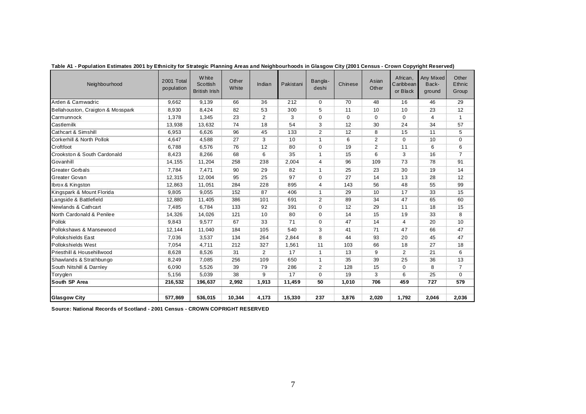| Neighbourhood                     | 2001 Total<br>population | <b>White</b><br>Scottish<br><b>British Irish</b> | Other<br>White | Indian          | Pakistani        | Bangla-<br>deshi | Chinese         | Asian<br>Other | African,<br>Caribbean<br>or Black | Any Mixed<br>Back-<br>ground | Other<br>Ethnic<br>Group |
|-----------------------------------|--------------------------|--------------------------------------------------|----------------|-----------------|------------------|------------------|-----------------|----------------|-----------------------------------|------------------------------|--------------------------|
| Arden & Camwadric                 | 9.662                    | 9.139                                            | 66             | $\overline{36}$ | $\overline{212}$ | $\Omega$         | $\overline{70}$ | 48             | 16                                | 46                           | 29                       |
| Bellahouston, Craigton & Mosspark | 8,930                    | 8,424                                            | 82             | 53              | 300              | 5                | 11              | 10             | 10                                | 23                           | 12                       |
| Carmunnock                        | 1.378                    | 1.345                                            | 23             | $\overline{2}$  | 3                | $\Omega$         | $\mathbf 0$     | $\Omega$       | $\Omega$                          | 4                            | $\mathbf{1}$             |
| Castlemilk                        | 13,938                   | 13,632                                           | 74             | 18              | 54               | 3                | 12              | 30             | 24                                | 34                           | 57                       |
| <b>Cathcart &amp; Simshill</b>    | 6,953                    | 6,626                                            | 96             | 45              | 133              | $\overline{2}$   | 12              | 8              | 15                                | 11                           | 5                        |
| Corkerhill & North Pollok         | 4.647                    | 4,588                                            | 27             | 3               | 10               | $\mathbf{1}$     | 6               | 2              | 0                                 | 10                           | 0                        |
| Croftfoot                         | 6.788                    | 6,576                                            | 76             | 12              | 80               | $\mathbf 0$      | 19              | 2              | 11                                | 6                            | 6                        |
| Crookston & South Cardonald       | 8,423                    | 8,266                                            | 68             | 6               | 35               | $\mathbf{1}$     | 15              | 6              | 3                                 | 16                           | $\overline{7}$           |
| Govanhill                         | 14, 155                  | 11,204                                           | 258            | 238             | 2,004            | 4                | 96              | 109            | 73                                | 78                           | 91                       |
| <b>Greater Gorbals</b>            | 7.784                    | 7,471                                            | 90             | 29              | 82               | $\mathbf{1}$     | 25              | 23             | 30                                | 19                           | 14                       |
| Greater Govan                     | 12,315                   | 12,004                                           | 95             | 25              | 97               | $\mathbf 0$      | 27              | 14             | 13                                | 28                           | 12                       |
| Ibrox & Kingston                  | 12,863                   | 11,051                                           | 284            | 228             | 895              | $\overline{4}$   | 143             | 56             | 48                                | 55                           | 99                       |
| Kingspark & Mount Florida         | 9.805                    | 9,055                                            | 152            | 87              | 406              | $\mathbf{1}$     | 29              | 10             | 17                                | 33                           | 15                       |
| Langside & Battlefield            | 12,880                   | 11,405                                           | 386            | 101             | 691              | 2                | 89              | 34             | 47                                | 65                           | 60                       |
| Newlands & Cathcart               | 7,485                    | 6,784                                            | 133            | 92              | 391              | $\Omega$         | 12              | 29             | 11                                | 18                           | 15                       |
| North Cardonald & Penilee         | 14,326                   | 14,026                                           | 121            | 10              | 80               | $\Omega$         | 14              | 15             | 19                                | 33                           | 8                        |
| Pollok                            | 9,843                    | 9,577                                            | 67             | 33              | 71               | $\Omega$         | 47              | 14             | $\overline{4}$                    | 20                           | 10                       |
| Pollokshaws & Mansewood           | 12,144                   | 11,040                                           | 184            | 105             | 540              | 3                | 41              | 71             | 47                                | 66                           | 47                       |
| <b>Pollokshields East</b>         | 7,036                    | 3,537                                            | 134            | 264             | 2,844            | 8                | 44              | 93             | 20                                | 45                           | 47                       |
| Pollokshields West                | 7,054                    | 4,711                                            | 212            | 327             | 1,561            | 11               | 103             | 66             | 18                                | 27                           | 18                       |
| Priesthill & Househillwood        | 8.628                    | 8,526                                            | 31             | 2               | 17               | $\mathbf{1}$     | 13              | 9              | $\overline{2}$                    | 21                           | 6                        |
| Shawlands & Strathbungo           | 8,249                    | 7,085                                            | 256            | 109             | 650              | $\mathbf{1}$     | 35              | 39             | 25                                | 36                           | 13                       |
| South Nitshill & Darnley          | 6.090                    | 5,526                                            | 39             | 79              | 286              | 2                | 128             | 15             | 0                                 | 8                            | $\overline{7}$           |
| Toryglen                          | 5.156                    | 5,039                                            | 38             | 9               | 17               | $\Omega$         | 19              | 3              | 6                                 | 25                           | $\Omega$                 |
| South SP Area                     | 216,532                  | 196,637                                          | 2,992          | 1,913           | 11,459           | 50               | 1,010           | 706            | 459                               | 727                          | 579                      |
| <b>Glasgow City</b>               | 577,869                  | 536,015                                          | 10.344         | 4,173           | 15,330           | 237              | 3,876           | 2.020          | 1,792                             | 2,046                        | 2,036                    |

**Table A1 - Population Estimates 2001 by Ethnicity for Strategic Planning Areas and Neighbourhoods in Glasgow City (2001 Census - Crown Copyright Reserved)**

**Source: National Records of Scotland - 2001 Census - CROWN COPRIGHT RESERVED**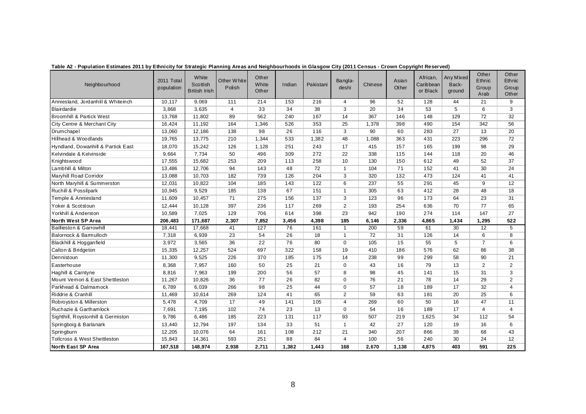| Neighbourhood                           | 2011 Total<br>population | White<br>Scottish<br><b>British Irish</b> | Other White<br>Polish | Other<br>White<br>Other | Indian | Pakistani | Bangla-<br>deshi | Chinese | Asian<br>Other | African,<br>Caribbean<br>or Black | Any Mixed<br>Back-<br>ground | Other<br>Ethnic<br>Group<br>Arab | Other<br>Ethnic<br>Group<br>Other |
|-----------------------------------------|--------------------------|-------------------------------------------|-----------------------|-------------------------|--------|-----------|------------------|---------|----------------|-----------------------------------|------------------------------|----------------------------------|-----------------------------------|
| Anniesland, Jordanhill & Whiteinch      | 10.117                   | 9.069                                     | 111                   | 214                     | 153    | 216       | $\overline{4}$   | 96      | 52             | 128                               | 44                           | 21                               | 9                                 |
| Blairdardie                             | 3,868                    | 3,635                                     | $\overline{4}$        | 33                      | 34     | 38        | 3                | 20      | 34             | 53                                | 5                            | 6                                | 3                                 |
| Broomhill & Partick West                | 13,768                   | 11,802                                    | 89                    | 562                     | 240    | 167       | 14               | 367     | 146            | 148                               | 129                          | 72                               | 32                                |
| City Centre & Merchant City             | 16,424                   | 11,192                                    | 164                   | 1,346                   | 526    | 353       | 25               | 1,378   | 398            | 490                               | 154                          | 342                              | 56                                |
| Drumchapel                              | 13,060                   | 12,186                                    | 138                   | 98                      | 26     | 116       | 3                | 90      | 60             | 283                               | 27                           | 13                               | 20                                |
| Hillhead & Woodlands                    | 19,765                   | 13,775                                    | 210                   | 1,344                   | 533    | 1,382     | 48               | 1,088   | 363            | 431                               | 223                          | 296                              | 72                                |
| Hyndland, Dowanhill & Partick East      | 18,070                   | 15,242                                    | 126                   | 1,128                   | 251    | 243       | 17               | 415     | 157            | 165                               | 199                          | 98                               | 29                                |
| Kelvindale & Kelvinside                 | 9,664                    | 7,734                                     | 50                    | 496                     | 309    | 272       | 22               | 338     | 115            | 144                               | 118                          | 20                               | 46                                |
| Knightswood                             | 17,555                   | 15,682                                    | 253                   | 209                     | 113    | 258       | 10               | 130     | 150            | 612                               | 49                           | 52                               | 37                                |
| Lambhill & Milton                       | 13,486                   | 12,706                                    | 94                    | 143                     | 48     | 72        | $\mathbf{1}$     | 104     | 71             | 152                               | 41                           | 30                               | 24                                |
| Maryhill Road Corridor                  | 13,088                   | 10,703                                    | 182                   | 739                     | 126    | 204       | 3                | 320     | 132            | 473                               | 124                          | 41                               | 41                                |
| North Maryhill & Summerston             | 12,031                   | 10,822                                    | 104                   | 185                     | 143    | 122       | 6                | 237     | 55             | 291                               | 45                           | 9                                | 12                                |
| Ruchill & Possilpark                    | 10,945                   | 9,529                                     | 185                   | 138                     | 67     | 151       | $\mathbf{1}$     | 305     | 63             | 412                               | 28                           | 48                               | 18                                |
| Temple & Anniesland                     | 11,609                   | 10,457                                    | 71                    | 275                     | 156    | 137       | 3                | 123     | 96             | 173                               | 64                           | 23                               | 31                                |
| Yoker & Scotstoun                       | 12,444                   | 10,128                                    | 397                   | 236                     | 117    | 269       | $\overline{2}$   | 193     | 254            | 636                               | 70                           | 77                               | 65                                |
| Yorkhill & Anderston                    | 10,589                   | 7.025                                     | 129                   | 706                     | 614    | 398       | 23               | 942     | 190            | 274                               | 114                          | 147                              | 27                                |
| North West SP Area                      | 206,483                  | 171,687                                   | 2,307                 | 7,852                   | 3,456  | 4,398     | 185              | 6,146   | 2,336          | 4,865                             | 1,434                        | 1.295                            | 522                               |
| <b>Baillieston &amp; Garrowhill</b>     | 18,441                   | 17,668                                    | 41                    | 127                     | 76     | 161       | $\mathbf{1}$     | 200     | 59             | 61                                | 30                           | 12                               | 5                                 |
| Balornock & Barmulloch                  | 7,318                    | 6,939                                     | 23                    | 54                      | 26     | 18        | $\mathbf{1}$     | 72      | 31             | 126                               | 14                           | 6                                | 8                                 |
| Blackhill & Hogganfield                 | 3,972                    | 3,565                                     | 36                    | 22                      | 76     | 80        | $\mathbf 0$      | 105     | 15             | 55                                | 5                            | $\overline{7}$                   | 6                                 |
| Calton & Bridgeton                      | 15,335                   | 12,257                                    | 524                   | 697                     | 322    | 158       | 19               | 410     | 186            | 576                               | 62                           | 86                               | 38                                |
| Dennistoun                              | 11,300                   | 9,525                                     | 226                   | 370                     | 185    | 175       | 14               | 238     | 99             | 299                               | 58                           | 90                               | 21                                |
| Easterhouse                             | 8,368                    | 7,957                                     | 160                   | 50                      | 25     | 21        | $\mathbf 0$      | 43      | 16             | 79                                | 13                           | $\overline{2}$                   | $\overline{2}$                    |
| Haghill & Carntyne                      | 8,816                    | 7,963                                     | 199                   | 200                     | 56     | 57        | 8                | 98      | 45             | 141                               | 15                           | 31                               | 3                                 |
| Mount Vemon & East Shettleston          | 11,267                   | 10,826                                    | 36                    | 77                      | 26     | 82        | $\mathbf 0$      | 76      | 21             | 78                                | 14                           | 29                               | 2                                 |
| Parkhead & Dalmamock                    | 6,789                    | 6,039                                     | 266                   | 98                      | 25     | 44        | $\mathbf 0$      | 57      | 18             | 189                               | 17                           | 32                               | $\overline{4}$                    |
| Riddrie & Cranhill                      | 11,469                   | 10.614                                    | 269                   | 124                     | 41     | 65        | 2                | 59      | 63             | 181                               | 20                           | 25                               | 6                                 |
| Robroyston & Millerston                 | 5,478                    | 4,709                                     | 17                    | 49                      | 141    | 105       | 4                | 269     | 60             | 50                                | 16                           | 47                               | 11                                |
| Ruchazie & Garthamlock                  | 7,691                    | 7,195                                     | 102                   | 74                      | 23     | 13        | $\mathbf 0$      | 54      | 16             | 189                               | 17                           | 4                                | $\overline{4}$                    |
| Sighthill, Roystonhill & Germiston      | 9,786                    | 6,486                                     | 185                   | 223                     | 131    | 117       | 93               | 507     | 219            | 1,625                             | 34                           | 112                              | 54                                |
| Springboig & Barlanark                  | 13,440                   | 12,794                                    | 197                   | 134                     | 33     | 51        | $\mathbf{1}$     | 42      | 27             | 120                               | 19                           | 16                               | 6                                 |
| Springburn                              | 12,205                   | 10,076                                    | 64                    | 161                     | 108    | 212       | 21               | 340     | 207            | 866                               | 39                           | 68                               | 43                                |
| <b>Tollcross &amp; West Shettleston</b> | 15,843                   | 14,361                                    | 593                   | 251                     | 88     | 84        | $\overline{4}$   | 100     | 56             | 240                               | 30                           | 24                               | 12                                |
| North East SP Area                      | 167,518                  | 148,974                                   | 2,938                 | 2,711                   | 1,382  | 1,443     | 168              | 2,670   | 1,138          | 4,875                             | 403                          | 591                              | 225                               |

**Table A2 - Population Estimates 2011 by Ethnicity for Strategic Planning Areas and Neighbourhoods in Glasgow City (2011 Census - Crown Copyright Reserved)**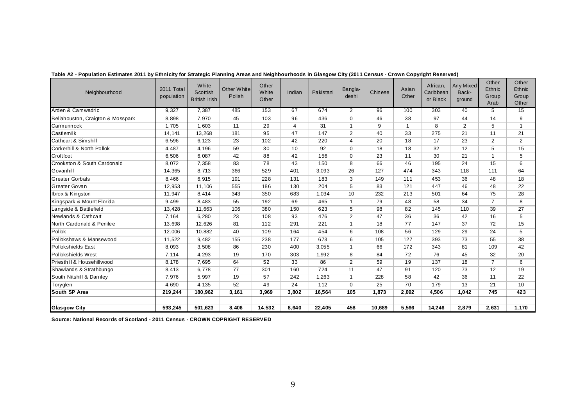| Neighbourhood                     | 2011 Total<br>population | White<br>Scottish<br><b>British Irish</b> | Other White<br>Polish | Other<br>White<br>Other | Indian | Pakistani | Bangla-<br>deshi | Chinese | Asian<br>Other | African,<br>Caribbean<br>or Black | Any Mixed<br>Back-<br>ground | Other<br>Ethnic<br>Group<br>Arab | Other<br>Ethnic<br>Group<br>Other |
|-----------------------------------|--------------------------|-------------------------------------------|-----------------------|-------------------------|--------|-----------|------------------|---------|----------------|-----------------------------------|------------------------------|----------------------------------|-----------------------------------|
| Arden & Camwadric                 | 9,327                    | 7.387                                     | 485                   | 153                     | 67     | 674       | $\overline{2}$   | 96      | 100            | 303                               | 40                           | 5                                | 15                                |
| Bellahouston, Craigton & Mosspark | 8,898                    | 7.970                                     | 45                    | 103                     | 96     | 436       | $\mathbf 0$      | 46      | 38             | 97                                | 44                           | 14                               | 9                                 |
| <b>Carmunnock</b>                 | 1,705                    | 1.603                                     | 11                    | 29                      | 4      | 31        | $\overline{1}$   | 9       | $\mathbf{1}$   | 8                                 | $\overline{2}$               | 5                                | $\overline{1}$                    |
| Castlemilk                        | 14,141                   | 13,268                                    | 181                   | 95                      | 47     | 147       | $\overline{2}$   | 40      | 33             | 275                               | 21                           | 11                               | 21                                |
| Cathcart & Simshill               | 6,596                    | 6.123                                     | 23                    | 102                     | 42     | 220       | $\overline{4}$   | 20      | 18             | 17                                | 23                           | $\overline{2}$                   | 2                                 |
| Corkerhill & North Pollok         | 4,487                    | 4,196                                     | 59                    | 30                      | 10     | 92        | $\mathbf 0$      | 18      | 18             | 32                                | 12                           | 5                                | 15                                |
| Croftfoot                         | 6,506                    | 6.087                                     | 42                    | 88                      | 42     | 156       | $\mathbf 0$      | 23      | 11             | 30                                | 21                           | $\mathbf 1$                      | 5                                 |
| Crookston & South Cardonald       | 8,072                    | 7,358                                     | 83                    | 78                      | 43     | 150       | 8                | 66      | 46             | 195                               | 24                           | 15                               | 6                                 |
| Govanhill                         | 14,365                   | 8,713                                     | 366                   | 529                     | 401    | 3,093     | 26               | 127     | 474            | 343                               | 118                          | 111                              | 64                                |
| <b>Greater Gorbals</b>            | 8,466                    | 6.915                                     | 191                   | 228                     | 131    | 183       | 3                | 149     | 111            | 453                               | 36                           | 48                               | 18                                |
| Greater Govan                     | 12,953                   | 11.106                                    | 555                   | 186                     | 130    | 204       | 5                | 83      | 121            | 447                               | 46                           | 48                               | 22                                |
| Ibrox & Kingston                  | 11,947                   | 8,414                                     | 343                   | 350                     | 683    | 1,034     | 10               | 232     | 213            | 501                               | 64                           | 75                               | 28                                |
| Kingspark & Mount Florida         | 9,499                    | 8.483                                     | 55                    | 192                     | 69     | 465       | $\overline{1}$   | 79      | 48             | 58                                | 34                           | $\overline{7}$                   | 8                                 |
| Langside & Battlefield            | 13,428                   | 11,663                                    | 106                   | 380                     | 150    | 623       | 5                | 98      | 82             | 145                               | 110                          | 39                               | 27                                |
| Newlands & Cathcart               | 7,164                    | 6,280                                     | 23                    | 108                     | 93     | 476       | 2                | 47      | 36             | 36                                | 42                           | 16                               | 5                                 |
| North Cardonald & Penilee         | 13,698                   | 12,626                                    | 81                    | 112                     | 291    | 221       | $\mathbf{1}$     | 18      | 77             | 147                               | 37                           | 72                               | 15                                |
| Pollok                            | 12,006                   | 10.882                                    | 40                    | 109                     | 164    | 454       | 6                | 108     | 56             | 129                               | 29                           | 24                               | 5                                 |
| Pollokshaws & Mansewood           | 11,522                   | 9,482                                     | 155                   | 238                     | 177    | 673       | 6                | 105     | 127            | 393                               | 73                           | 55                               | 38                                |
| Pollokshields East                | 8,093                    | 3.508                                     | 86                    | 230                     | 400    | 3.055     | $\overline{1}$   | 66      | 172            | 343                               | 81                           | 109                              | 42                                |
| Pollokshields West                | 7,114                    | 4,293                                     | 19                    | 170                     | 303    | 1,992     | 8                | 84      | 72             | 76                                | 45                           | 32                               | 20                                |
| Priesthill & Househillwood        | 8,178                    | 7,695                                     | 64                    | 52                      | 33     | 86        | 2                | 59      | 19             | 137                               | 18                           | $\overline{7}$                   | 6                                 |
| Shawlands & Strathbungo           | 8,413                    | 6,778                                     | 77                    | 301                     | 160    | 724       | 11               | 47      | 91             | 120                               | 73                           | 12                               | 19                                |
| South Nitshill & Darnley          | 7,976                    | 5,997                                     | 19                    | 57                      | 242    | 1,263     | $\overline{1}$   | 228     | 58             | 42                                | 36                           | 11                               | 22                                |
| Toryglen                          | 4,690                    | 4,135                                     | 52                    | 49                      | 24     | 112       | $\mathbf 0$      | 25      | 70             | 179                               | 13                           | 21                               | 10                                |
| <b>South SP Area</b>              | 219,244                  | 180,962                                   | 3,161                 | 3,969                   | 3.802  | 16,564    | 105              | 1.873   | 2,092          | 4,506                             | 1,042                        | 745                              | 423                               |
| <b>Glasgow City</b>               | 593,245                  | 501,623                                   | 8,406                 | 14,532                  | 8,640  | 22,405    | 458              | 10,689  | 5,566          | 14,246                            | 2,879                        | 2,631                            | 1,170                             |

**Table A2 - Population Estimates 2011 by Ethnicity for Strategic Planning Areas and Neighbourhoods in Glasgow City (2011 Census - Crown Copyright Reserved)**

**Source: National Records of Scotland - 2011 Census - CROWN COPRIGHT RESERVED**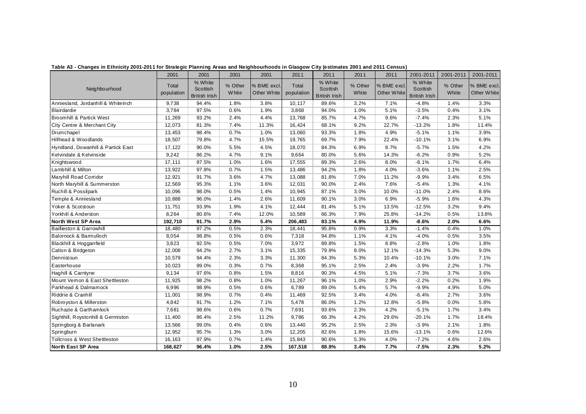|                                         | 2001                | 2001                                        | 2001                    | 2001                       | 2011                | 2011                                        | 2011             | 2011                       | 2001-2011                                   | 2001-2011        | 2001-2011                  |
|-----------------------------------------|---------------------|---------------------------------------------|-------------------------|----------------------------|---------------------|---------------------------------------------|------------------|----------------------------|---------------------------------------------|------------------|----------------------------|
| Neighbourhood                           | Total<br>population | % White<br>Scottish<br><b>British Irish</b> | % Other<br><b>White</b> | % BME excl.<br>Other White | Total<br>population | % White<br>Scottish<br><b>British Irish</b> | % Other<br>White | % BME excl.<br>Other White | % White<br>Scottish<br><b>British Irish</b> | % Other<br>White | % BME excl.<br>Other White |
| Anniesland, Jordanhill & Whiteinch      | 9,738               | 94.4%                                       | 1.8%                    | 3.8%                       | 10,117              | 89.6%                                       | 3.2%             | 7.1%                       | $-4.8%$                                     | 1.4%             | 3.3%                       |
| <b>Blairdardie</b>                      | 3,784               | 97.5%                                       | 0.6%                    | 1.9%                       | 3,868               | 94.0%                                       | 1.0%             | 5.1%                       | $-3.5%$                                     | 0.4%             | 3.1%                       |
| <b>Broomhill &amp; Partick West</b>     | 11,269              | 93.2%                                       | 2.4%                    | 4.4%                       | 13,768              | 85.7%                                       | 4.7%             | 9.6%                       | $-7.4%$                                     | 2.3%             | 5.1%                       |
| City Centre & Merchant City             | 12,073              | 81.3%                                       | 7.4%                    | 11.3%                      | 16,424              | 68.1%                                       | 9.2%             | 22.7%                      | $-13.2%$                                    | 1.8%             | 11.4%                      |
| Drumchapel                              | 13,453              | 98.4%                                       | 0.7%                    | 1.0%                       | 13,060              | 93.3%                                       | 1.8%             | 4.9%                       | $-5.1%$                                     | 1.1%             | 3.9%                       |
| Hillhead & Woodlands                    | 18,507              | 79.8%                                       | 4.7%                    | 15.5%                      | 19,765              | 69.7%                                       | 7.9%             | 22.4%                      | $-10.1%$                                    | 3.1%             | 6.9%                       |
| Hyndland, Dowanhill & Partick East      | 17,122              | 90.0%                                       | 5.5%                    | 4.5%                       | 18,070              | 84.3%                                       | 6.9%             | 8.7%                       | $-5.7%$                                     | 1.5%             | 4.2%                       |
| Kelvindale & Kelvinside                 | 9,242               | 86.2%                                       | 4.7%                    | 9.1%                       | 9,664               | 80.0%                                       | 5.6%             | 14.3%                      | $-6.2%$                                     | 0.9%             | 5.2%                       |
| Knightswood                             | 17,111              | 97.5%                                       | 1.0%                    | 1.6%                       | 17,555              | 89.3%                                       | 2.6%             | 8.0%                       | $-8.1%$                                     | 1.7%             | 6.4%                       |
| Lambhill & Milton                       | 13,922              | 97.8%                                       | 0.7%                    | 1.5%                       | 13,486              | 94.2%                                       | 1.8%             | 4.0%                       | $-3.6%$                                     | 1.1%             | 2.5%                       |
| Maryhill Road Corridor                  | 12,921              | 91.7%                                       | 3.6%                    | 4.7%                       | 13,088              | 81.8%                                       | 7.0%             | 11.2%                      | $-9.9%$                                     | 3.4%             | 6.5%                       |
| North Maryhill & Summerston             | 12,569              | 95.3%                                       | 1.1%                    | 3.6%                       | 12,031              | 90.0%                                       | 2.4%             | 7.6%                       | $-5.4%$                                     | 1.3%             | 4.1%                       |
| Ruchill & Possilpark                    | 10,096              | 98.0%                                       | 0.5%                    | 1.4%                       | 10,945              | 87.1%                                       | 3.0%             | 10.0%                      | $-11.0%$                                    | 2.4%             | 8.6%                       |
| Temple & Anniesland                     | 10,888              | 96.0%                                       | 1.4%                    | 2.6%                       | 11,609              | 90.1%                                       | 3.0%             | 6.9%                       | $-5.9%$                                     | 1.6%             | 4.3%                       |
| Yoker & Scotstoun                       | 11,751              | 93.9%                                       | 1.9%                    | 4.1%                       | 12,444              | 81.4%                                       | 5.1%             | 13.5%                      | $-12.5%$                                    | 3.2%             | 9.4%                       |
| Yorkhill & Anderston                    | 8,264               | 80.6%                                       | 7.4%                    | 12.0%                      | 10,589              | 66.3%                                       | 7.9%             | 25.8%                      | $-14.2%$                                    | 0.5%             | 13.8%                      |
| North West SP Area                      | 192,710             | 91.7%                                       | 2.9%                    | 5.4%                       | 206,483             | 83.1%                                       | 4.9%             | 11.9%                      | $-8.6%$                                     | 2.0%             | 6.6%                       |
| <b>Baillieston &amp; Garrowhill</b>     | 18,480              | 97.2%                                       | 0.5%                    | 2.3%                       | 18,441              | 95.8%                                       | 0.9%             | 3.3%                       | $-1.4%$                                     | 0.4%             | 1.0%                       |
| Balornock & Barmulloch                  | 8,054               | 98.8%                                       | 0.5%                    | 0.6%                       | 7,318               | 94.8%                                       | 1.1%             | 4.1%                       | $-4.0%$                                     | 0.5%             | 3.5%                       |
| Blackhill & Hogganfield                 | 3,823               | 92.5%                                       | 0.5%                    | 7.0%                       | 3,972               | 89.8%                                       | 1.5%             | 8.8%                       | $-2.8%$                                     | 1.0%             | 1.8%                       |
| Calton & Bridgeton                      | 12,008              | 94.2%                                       | 2.7%                    | 3.1%                       | 15,335              | 79.9%                                       | 8.0%             | 12.1%                      | $-14.3%$                                    | 5.3%             | 9.0%                       |
| Dennistoun                              | 10,579              | 94.4%                                       | 2.3%                    | 3.3%                       | 11,300              | 84.3%                                       | 5.3%             | 10.4%                      | $-10.1%$                                    | 3.0%             | 7.1%                       |
| Easterhouse                             | 10,023              | 99.0%                                       | 0.3%                    | 0.7%                       | 8,368               | 95.1%                                       | 2.5%             | 2.4%                       | $-3.9%$                                     | 2.2%             | 1.7%                       |
| Haghill & Carntyne                      | 9,134               | 97.6%                                       | 0.8%                    | 1.5%                       | 8,816               | 90.3%                                       | 4.5%             | 5.1%                       | $-7.3%$                                     | 3.7%             | 3.6%                       |
| Mount Vemon & East Shettleston          | 11,925              | 98.2%                                       | 0.8%                    | 1.0%                       | 11,267              | 96.1%                                       | 1.0%             | 2.9%                       | $-2.2%$                                     | 0.2%             | 1.9%                       |
| Parkhead & Dalmamock                    | 6,996               | 98.9%                                       | 0.5%                    | 0.6%                       | 6,789               | 89.0%                                       | 5.4%             | 5.7%                       | $-9.9%$                                     | 4.9%             | 5.0%                       |
| Riddrie & Cranhill                      | 11,001              | 98.9%                                       | 0.7%                    | 0.4%                       | 11,469              | 92.5%                                       | 3.4%             | 4.0%                       | $-6.4%$                                     | 2.7%             | 3.6%                       |
| Robroyston & Millerston                 | 4,842               | 91.7%                                       | 1.2%                    | 7.1%                       | 5,478               | 86.0%                                       | 1.2%             | 12.8%                      | $-5.8%$                                     | 0.0%             | 5.8%                       |
| Ruchazie & Garthamlock                  | 7,681               | 98.6%                                       | 0.6%                    | 0.7%                       | 7,691               | 93.6%                                       | 2.3%             | 4.2%                       | $-5.1%$                                     | 1.7%             | 3.4%                       |
| Sighthill, Roystonhill & Germiston      | 11,400              | 86.4%                                       | 2.5%                    | 11.2%                      | 9,786               | 66.3%                                       | 4.2%             | 29.6%                      | $-20.1%$                                    | 1.7%             | 18.4%                      |
| Springboig & Barlanark                  | 13,566              | 99.0%                                       | 0.4%                    | 0.6%                       | 13,440              | 95.2%                                       | 2.5%             | 2.3%                       | $-3.9%$                                     | 2.1%             | 1.8%                       |
| Springburn                              | 12,952              | 95.7%                                       | 1.3%                    | 3.0%                       | 12,205              | 82.6%                                       | 1.8%             | 15.6%                      | $-13.1%$                                    | 0.6%             | 12.6%                      |
| <b>Tollcross &amp; West Shettleston</b> | 16, 163             | 97.9%                                       | 0.7%                    | 1.4%                       | 15,843              | 90.6%                                       | 5.3%             | 4.0%                       | $-7.2%$                                     | 4.6%             | 2.6%                       |
| North East SP Area                      | 168,627             | 96.4%                                       | 1.0%                    | 2.5%                       | 167,518             | 88.9%                                       | 3.4%             | 7.7%                       | $-7.5%$                                     | 2.3%             | 5.2%                       |

**Table A3 - Changes in Ethnicity 2001-2011 for Strategic Planning Areas and Neighbourhoods in Glasgow City (estimates 2001 and 2011 Census)**